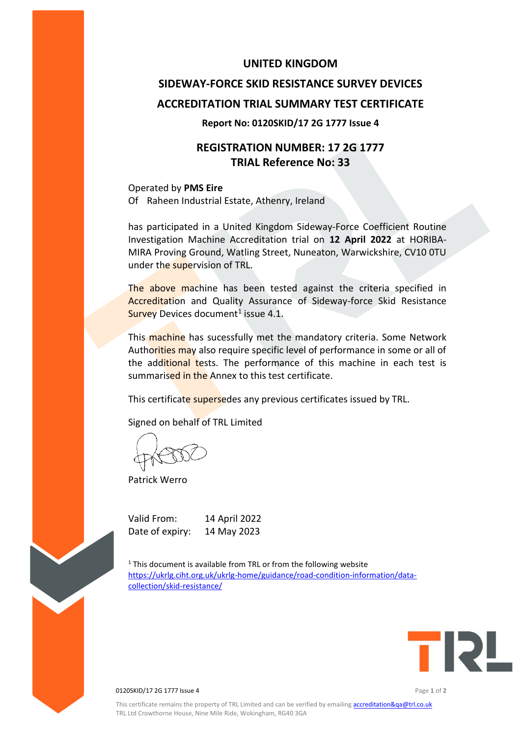#### **UNITED KINGDOM**

# **SIDEWAY-FORCE SKID RESISTANCE SURVEY DEVICES ACCREDITATION TRIAL SUMMARY TEST CERTIFICATE**

#### **Report No: 0120SKID/17 2G 1777 Issue 4**

## **REGISTRATION NUMBER: 17 2G 1777 TRIAL Reference No: 33**

Operated by **PMS Eire** Of Raheen Industrial Estate, Athenry, Ireland

has participated in a United Kingdom Sideway-Force Coefficient Routine Investigation Machine Accreditation trial on **12 April 2022** at HORIBA-MIRA Proving Ground, Watling Street, Nuneaton, Warwickshire, CV10 0TU under the supervision of TRL.

The above machine has been tested against the criteria specified in Accreditation and Quality Assurance of Sideway-force Skid Resistance Survey Devices document<sup>1</sup> issue 4.1.

This machine has sucessfully met the mandatory criteria. Some Network Authorities may also require specific level of performance in some or all of the additional tests. The performance of this machine in each test is summarised in the Annex to this test certificate.

This certificate supersedes any previous certificates issued by TRL.

Signed on behalf of TRL Limited

Patrick Werro

Valid From: 14 April 2022 Date of expiry: 14 May 2023

 $1$ <sup>1</sup> This document is available from TRL or from the following website [https://ukrlg.ciht.org.uk/ukrlg-home/guidance/road-condition-information/data](https://ukrlg.ciht.org.uk/ukrlg-home/guidance/road-condition-information/data-collection/skid-resistance/)[collection/skid-resistance/](https://ukrlg.ciht.org.uk/ukrlg-home/guidance/road-condition-information/data-collection/skid-resistance/)



0120SKID/17 2G 1777 Issue 4 Page **1** of **2**